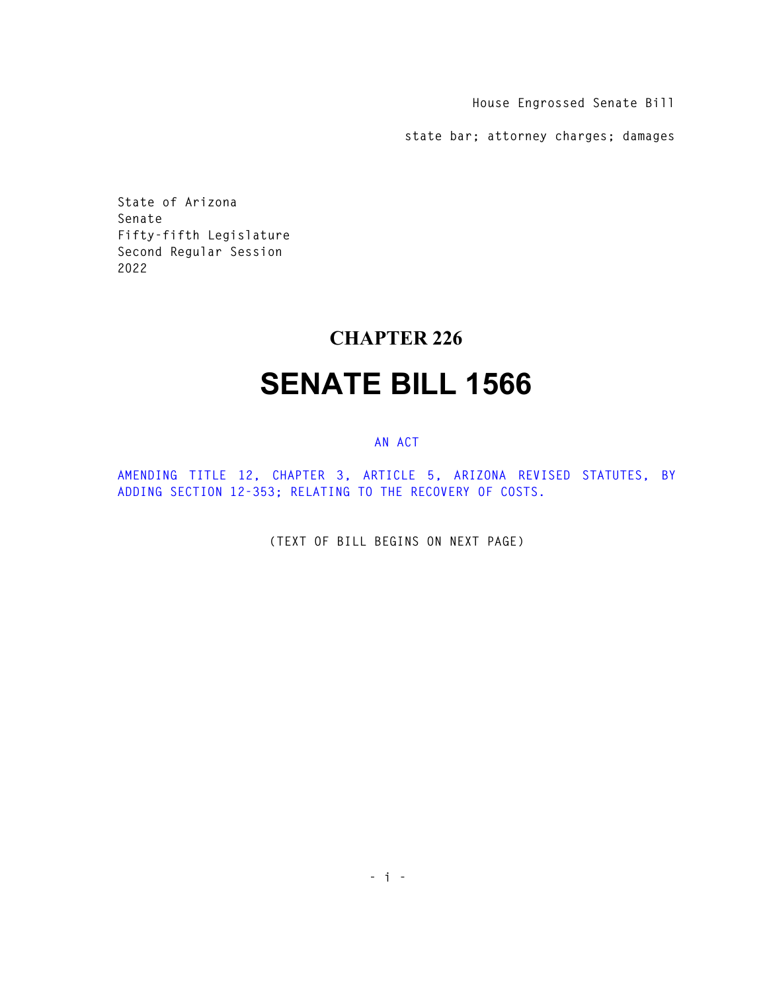**House Engrossed Senate Bill** 

**state bar; attorney charges; damages** 

**State of Arizona Senate Fifty-fifth Legislature Second Regular Session 2022** 

## **CHAPTER 226**

## **SENATE BILL 1566**

## **AN ACT**

**AMENDING TITLE 12, CHAPTER 3, ARTICLE 5, ARIZONA REVISED STATUTES, BY ADDING SECTION 12-353; RELATING TO THE RECOVERY OF COSTS.** 

**(TEXT OF BILL BEGINS ON NEXT PAGE)**